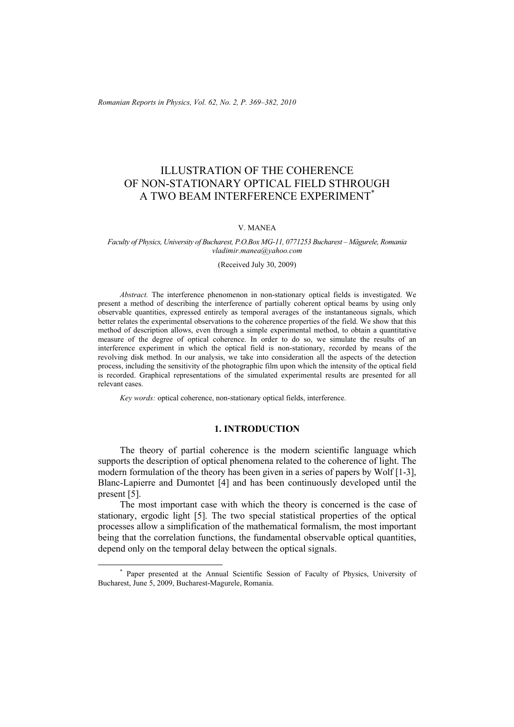*Romanian Reports in Physics, Vol. 62, No. 2, P. 369–382, 2010*

# ILLUSTRATION OF THE COHERENCE OF NON-STATIONARY OPTICAL FIELD STHROUGH A TWO BEAM INTERFERENCE EXPERIMENT<sup>\*</sup>

#### V. MANEA

*Faculty of Physics, University of Bucharest, P.O.Box MG-11, 0771253 Bucharest – Măgurele, Romania vladimir.manea@yahoo.com* 

(Received July 30, 2009)

*Abstract.* The interference phenomenon in non-stationary optical fields is investigated. We present a method of describing the interference of partially coherent optical beams by using only observable quantities, expressed entirely as temporal averages of the instantaneous signals, which better relates the experimental observations to the coherence properties of the field. We show that this method of description allows, even through a simple experimental method, to obtain a quantitative measure of the degree of optical coherence. In order to do so, we simulate the results of an interference experiment in which the optical field is non-stationary, recorded by means of the revolving disk method. In our analysis, we take into consideration all the aspects of the detection process, including the sensitivity of the photographic film upon which the intensity of the optical field is recorded. Graphical representations of the simulated experimental results are presented for all relevant cases.

*Key words:* optical coherence, non-stationary optical fields, interference.

#### **1. INTRODUCTION**

The theory of partial coherence is the modern scientific language which supports the description of optical phenomena related to the coherence of light. The modern formulation of the theory has been given in a series of papers by Wolf [1-3], Blanc-Lapierre and Dumontet [4] and has been continuously developed until the present [5].

The most important case with which the theory is concerned is the case of stationary, ergodic light [5]. The two special statistical properties of the optical processes allow a simplification of the mathematical formalism, the most important being that the correlation functions, the fundamental observable optical quantities, depend only on the temporal delay between the optical signals.

 <sup>\*</sup> Paper presented at the Annual Scientific Session of Faculty of Physics, University of Bucharest, June 5, 2009, Bucharest-Magurele, Romania.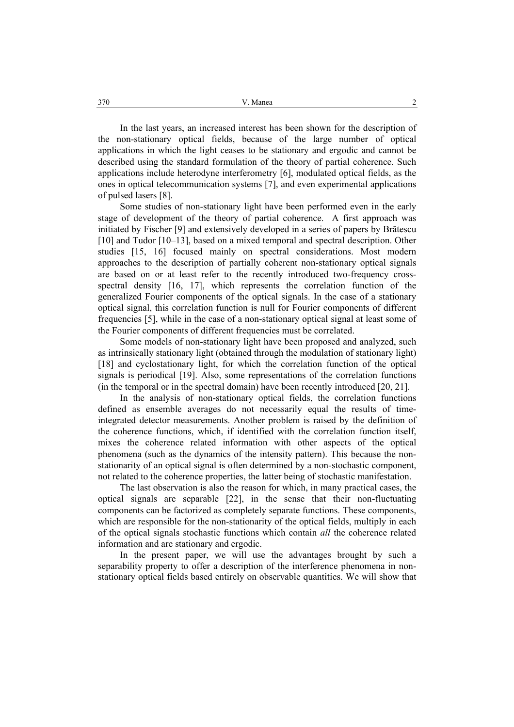In the last years, an increased interest has been shown for the description of the non-stationary optical fields, because of the large number of optical applications in which the light ceases to be stationary and ergodic and cannot be described using the standard formulation of the theory of partial coherence. Such applications include heterodyne interferometry [6], modulated optical fields, as the ones in optical telecommunication systems [7], and even experimental applications of pulsed lasers [8].

Some studies of non-stationary light have been performed even in the early stage of development of the theory of partial coherence. A first approach was initiated by Fischer [9] and extensively developed in a series of papers by Brătescu [10] and Tudor [10–13], based on a mixed temporal and spectral description. Other studies [15, 16] focused mainly on spectral considerations. Most modern approaches to the description of partially coherent non-stationary optical signals are based on or at least refer to the recently introduced two-frequency crossspectral density [16, 17], which represents the correlation function of the generalized Fourier components of the optical signals. In the case of a stationary optical signal, this correlation function is null for Fourier components of different frequencies [5], while in the case of a non-stationary optical signal at least some of the Fourier components of different frequencies must be correlated.

Some models of non-stationary light have been proposed and analyzed, such as intrinsically stationary light (obtained through the modulation of stationary light) [18] and cyclostationary light, for which the correlation function of the optical signals is periodical [19]. Also, some representations of the correlation functions (in the temporal or in the spectral domain) have been recently introduced [20, 21].

In the analysis of non-stationary optical fields, the correlation functions defined as ensemble averages do not necessarily equal the results of timeintegrated detector measurements. Another problem is raised by the definition of the coherence functions, which, if identified with the correlation function itself, mixes the coherence related information with other aspects of the optical phenomena (such as the dynamics of the intensity pattern). This because the nonstationarity of an optical signal is often determined by a non-stochastic component, not related to the coherence properties, the latter being of stochastic manifestation.

The last observation is also the reason for which, in many practical cases, the optical signals are separable [22], in the sense that their non-fluctuating components can be factorized as completely separate functions. These components, which are responsible for the non-stationarity of the optical fields, multiply in each of the optical signals stochastic functions which contain *all* the coherence related information and are stationary and ergodic.

In the present paper, we will use the advantages brought by such a separability property to offer a description of the interference phenomena in nonstationary optical fields based entirely on observable quantities. We will show that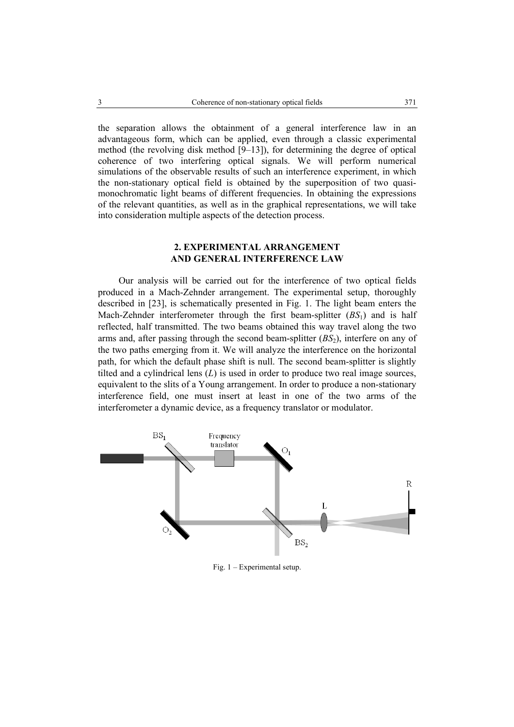the separation allows the obtainment of a general interference law in an advantageous form, which can be applied, even through a classic experimental method (the revolving disk method [9–13]), for determining the degree of optical coherence of two interfering optical signals. We will perform numerical simulations of the observable results of such an interference experiment, in which the non-stationary optical field is obtained by the superposition of two quasimonochromatic light beams of different frequencies. In obtaining the expressions of the relevant quantities, as well as in the graphical representations, we will take into consideration multiple aspects of the detection process.

### **2. EXPERIMENTAL ARRANGEMENT AND GENERAL INTERFERENCE LAW**

Our analysis will be carried out for the interference of two optical fields produced in a Mach-Zehnder arrangement. The experimental setup, thoroughly described in [23], is schematically presented in Fig. 1. The light beam enters the Mach-Zehnder interferometer through the first beam-splitter (*BS*1) and is half reflected, half transmitted. The two beams obtained this way travel along the two arms and, after passing through the second beam-splitter  $(BS_2)$ , interfere on any of the two paths emerging from it. We will analyze the interference on the horizontal path, for which the default phase shift is null. The second beam-splitter is slightly tilted and a cylindrical lens (*L*) is used in order to produce two real image sources, equivalent to the slits of a Young arrangement. In order to produce a non-stationary interference field, one must insert at least in one of the two arms of the interferometer a dynamic device, as a frequency translator or modulator.



Fig. 1 – Experimental setup.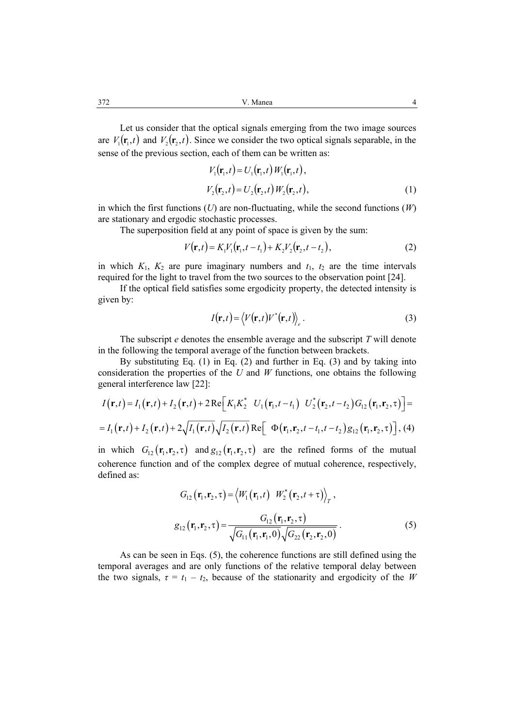Let us consider that the optical signals emerging from the two image sources are  $V_1(\mathbf{r}_1,t)$  and  $V_2(\mathbf{r}_2,t)$ . Since we consider the two optical signals separable, in the sense of the previous section, each of them can be written as:

$$
V_1(\mathbf{r}_1, t) = U_1(\mathbf{r}_1, t) W_1(\mathbf{r}_1, t),
$$
  
\n
$$
V_2(\mathbf{r}_2, t) = U_2(\mathbf{r}_2, t) W_2(\mathbf{r}_2, t),
$$
\n(1)

in which the first functions (*U*) are non-fluctuating, while the second functions (*W*) are stationary and ergodic stochastic processes.

The superposition field at any point of space is given by the sum:

$$
V(\mathbf{r},t) = K_1 V_1(\mathbf{r}_1, t - t_1) + K_2 V_2(\mathbf{r}_2, t - t_2),
$$
\n(2)

in which  $K_1$ ,  $K_2$  are pure imaginary numbers and  $t_1$ ,  $t_2$  are the time intervals required for the light to travel from the two sources to the observation point [24].

If the optical field satisfies some ergodicity property, the detected intensity is given by:

$$
I(\mathbf{r},t) = \langle V(\mathbf{r},t)V^*(\mathbf{r},t)\rangle_e.
$$
 (3)

The subscript *e* denotes the ensemble average and the subscript *T* will denote in the following the temporal average of the function between brackets.

By substituting Eq. (1) in Eq. (2) and further in Eq. (3) and by taking into consideration the properties of the *U* and *W* functions, one obtains the following general interference law [22]:

$$
I(\mathbf{r},t) = I_1(\mathbf{r},t) + I_2(\mathbf{r},t) + 2\operatorname{Re}\left[K_1K_2^* \quad U_1(\mathbf{r}_1,t-t_1) \quad U_2^*(\mathbf{r}_2,t-t_2)G_{12}(\mathbf{r}_1,\mathbf{r}_2,\tau)\right] =
$$
  
=  $I_1(\mathbf{r},t) + I_2(\mathbf{r},t) + 2\sqrt{I_1(\mathbf{r},t)}\sqrt{I_2(\mathbf{r},t)} \operatorname{Re}\left[\Phi(\mathbf{r}_1,\mathbf{r}_2,t-t_1,t-t_2)g_{12}(\mathbf{r}_1,\mathbf{r}_2,\tau)\right], (4)$ 

in which  $G_{12}(\mathbf{r}_1, \mathbf{r}_2, \tau)$  and  $g_{12}(\mathbf{r}_1, \mathbf{r}_2, \tau)$  are the refined forms of the mutual coherence function and of the complex degree of mutual coherence, respectively, defined as:

$$
G_{12}(\mathbf{r}_{1}, \mathbf{r}_{2}, \tau) = \langle W_{1}(\mathbf{r}_{1}, t) \quad W_{2}^{*}(\mathbf{r}_{2}, t + \tau) \rangle_{T},
$$
  

$$
g_{12}(\mathbf{r}_{1}, \mathbf{r}_{2}, \tau) = \frac{G_{12}(\mathbf{r}_{1}, \mathbf{r}_{2}, \tau)}{\sqrt{G_{11}(\mathbf{r}_{1}, \mathbf{r}_{1}, 0)} \sqrt{G_{22}(\mathbf{r}_{2}, \mathbf{r}_{2}, 0)}}.
$$
 (5)

As can be seen in Eqs. (5), the coherence functions are still defined using the temporal averages and are only functions of the relative temporal delay between the two signals,  $\tau = t_1 - t_2$ , because of the stationarity and ergodicity of the *W*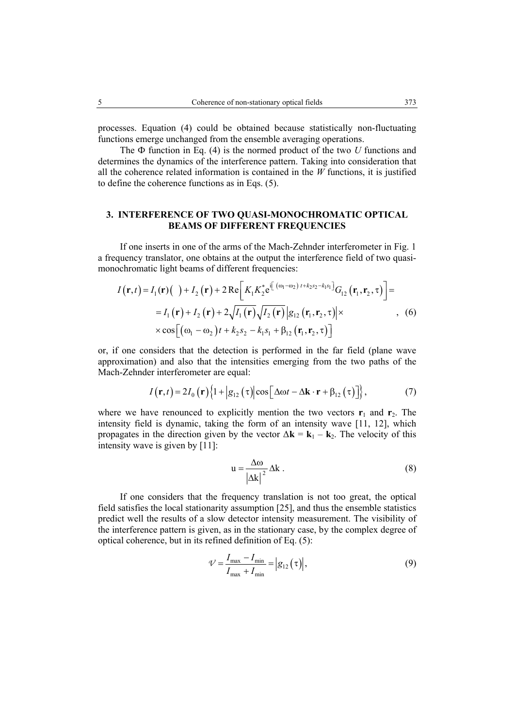processes. Equation (4) could be obtained because statistically non-fluctuating functions emerge unchanged from the ensemble averaging operations.

The Ф function in Eq. (4) is the normed product of the two *U* functions and determines the dynamics of the interference pattern. Taking into consideration that all the coherence related information is contained in the *W* functions, it is justified to define the coherence functions as in Eqs. (5).

### **3. INTERFERENCE OF TWO QUASI-MONOCHROMATIC OPTICAL BEAMS OF DIFFERENT FREQUENCIES**

If one inserts in one of the arms of the Mach-Zehnder interferometer in Fig. 1 a frequency translator, one obtains at the output the interference field of two quasimonochromatic light beams of different frequencies:

$$
I(\mathbf{r},t) = I_1(\mathbf{r})(\ ) + I_2(\mathbf{r}) + 2 \operatorname{Re} \Big[ K_1 K_2^* e^{i\left[ (\omega_1 - \omega_2) t + k_2 s_2 - k_1 s_1 \right]} G_{12}(\mathbf{r}_1, \mathbf{r}_2, \tau) \Big] =
$$
  
\n
$$
= I_1(\mathbf{r}) + I_2(\mathbf{r}) + 2\sqrt{I_1(\mathbf{r})}\sqrt{I_2(\mathbf{r})} |g_{12}(\mathbf{r}_1, \mathbf{r}_2, \tau)| \times
$$
  
\n
$$
\times \cos \Big[ (\omega_1 - \omega_2) t + k_2 s_2 - k_1 s_1 + \beta_{12}(\mathbf{r}_1, \mathbf{r}_2, \tau) \Big]
$$
 (6)

or, if one considers that the detection is performed in the far field (plane wave approximation) and also that the intensities emerging from the two paths of the Mach-Zehnder interferometer are equal:

$$
I(\mathbf{r},t) = 2I_0(\mathbf{r})\left\{1 + \left|g_{12}(\tau)\right|\cos\left[\Delta\omega t - \Delta\mathbf{k}\cdot\mathbf{r} + \beta_{12}(\tau)\right]\right\},\tag{7}
$$

where we have renounced to explicitly mention the two vectors  $\mathbf{r}_1$  and  $\mathbf{r}_2$ . The intensity field is dynamic, taking the form of an intensity wave [11, 12], which propagates in the direction given by the vector  $\Delta \mathbf{k} = \mathbf{k}_1 - \mathbf{k}_2$ . The velocity of this intensity wave is given by [11]:

$$
u = \frac{\Delta \omega}{|\Delta k|^2} \Delta k \tag{8}
$$

If one considers that the frequency translation is not too great, the optical field satisfies the local stationarity assumption [25], and thus the ensemble statistics predict well the results of a slow detector intensity measurement. The visibility of the interference pattern is given, as in the stationary case, by the complex degree of optical coherence, but in its refined definition of Eq. (5):

$$
\mathcal{V} = \frac{I_{\text{max}} - I_{\text{min}}}{I_{\text{max}} + I_{\text{min}}} = |g_{12}(\tau)|,
$$
\n(9)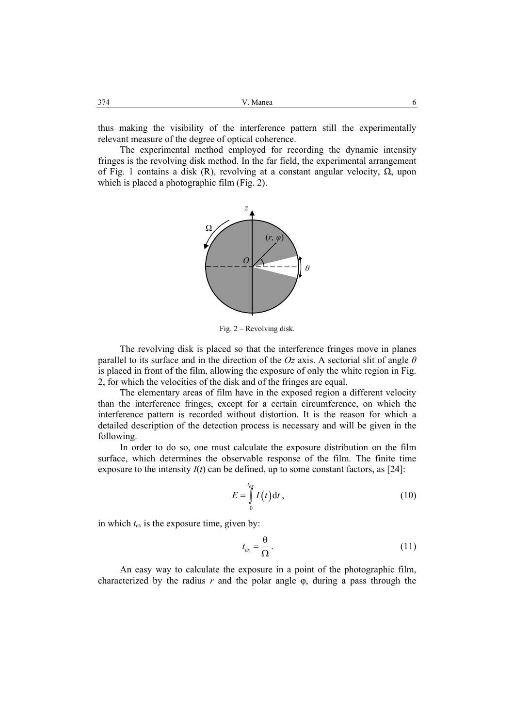thus making the visibility of the interference pattern still the experimentally relevant measure of the degree of optical coherence.

The experimental method employed for recording the dynamic intensity fringes is the revolving disk method. In the far field, the experimental arrangement of Fig. 1 contains a disk (R), revolving at a constant angular velocity,  $\Omega$ , upon which is placed a photographic film (Fig. 2).



Fig. 2 – Revolving disk.

The revolving disk is placed so that the interference fringes move in planes parallel to its surface and in the direction of the *Oz* axis. A sectorial slit of angle *θ* is placed in front of the film, allowing the exposure of only the white region in Fig. 2, for which the velocities of the disk and of the fringes are equal.

The elementary areas of film have in the exposed region a different velocity than the interference fringes, except for a certain circumference, on which the interference pattern is recorded without distortion. It is the reason for which a detailed description of the detection process is necessary and will be given in the following.

In order to do so, one must calculate the exposure distribution on the film surface, which determines the observable response of the film. The finite time exposure to the intensity  $I(t)$  can be defined, up to some constant factors, as [24]:

$$
E = \int_{0}^{t_{ex}} I(t) dt,
$$
 (10)

in which  $t_{ex}$  is the exposure time, given by:

$$
t_{ex} = \frac{\theta}{\Omega}.
$$
 (11)

An easy way to calculate the exposure in a point of the photographic film, characterized by the radius  $r$  and the polar angle  $\varphi$ , during a pass through the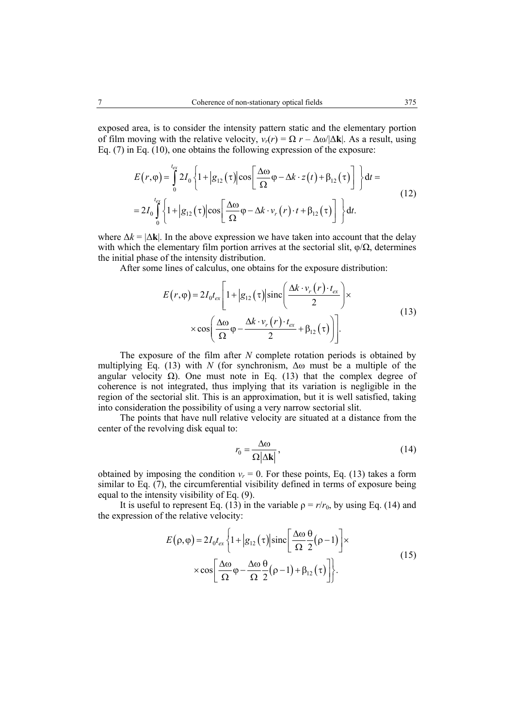exposed area, is to consider the intensity pattern static and the elementary portion of film moving with the relative velocity,  $v_r(r) = \Omega r - \Delta \omega / |\Delta \mathbf{k}|$ . As a result, using Eq. (7) in Eq. (10), one obtains the following expression of the exposure:

$$
E(r,\varphi) = \int_{0}^{t_{\text{ex}}} 2I_{0} \left\{ 1 + |g_{12}(\tau)| \cos \left[ \frac{\Delta \omega}{\Omega} \varphi - \Delta k \cdot z(t) + \beta_{12}(\tau) \right] \right\} dt =
$$
  
= 
$$
2I_{0} \int_{0}^{t_{\text{ex}}} \left\{ 1 + |g_{12}(\tau)| \cos \left[ \frac{\Delta \omega}{\Omega} \varphi - \Delta k \cdot v_{r}(r) \cdot t + \beta_{12}(\tau) \right] \right\} dt.
$$
 (12)

where  $\Delta k = |\Delta \mathbf{k}|$ . In the above expression we have taken into account that the delay with which the elementary film portion arrives at the sectorial slit,  $\varphi/\Omega$ , determines the initial phase of the intensity distribution.

After some lines of calculus, one obtains for the exposure distribution:

$$
E(r, \varphi) = 2I_0 t_{ex} \left[ 1 + |g_{12}(\tau)| \operatorname{sinc}\left(\frac{\Delta k \cdot v_r(r) \cdot t_{ex}}{2}\right) \times \right] \times \cos\left(\frac{\Delta \omega}{\Omega} \varphi - \frac{\Delta k \cdot v_r(r) \cdot t_{ex}}{2} + \beta_{12}(\tau) \right) \right].
$$
\n(13)

The exposure of the film after *N* complete rotation periods is obtained by multiplying Eq. (13) with *N* (for synchronism,  $\Delta \omega$  must be a multiple of the angular velocity  $Ω$ ). One must note in Eq. (13) that the complex degree of coherence is not integrated, thus implying that its variation is negligible in the region of the sectorial slit. This is an approximation, but it is well satisfied, taking into consideration the possibility of using a very narrow sectorial slit.

The points that have null relative velocity are situated at a distance from the center of the revolving disk equal to:

$$
r_0 = \frac{\Delta \omega}{\Omega |\Delta \mathbf{k}|},\tag{14}
$$

obtained by imposing the condition  $v_r = 0$ . For these points, Eq. (13) takes a form similar to Eq. (7), the circumferential visibility defined in terms of exposure being equal to the intensity visibility of Eq. (9).

It is useful to represent Eq. (13) in the variable  $\rho = r/r_0$ , by using Eq. (14) and the expression of the relative velocity:

$$
E(\rho,\varphi) = 2I_0 t_{ex} \left\{ 1 + \left| g_{12}(\tau) \right| \operatorname{sinc} \left[ \frac{\Delta \omega}{\Omega} \frac{\theta}{2} (\rho - 1) \right] \times \right.
$$
  
 
$$
\times \cos \left[ \frac{\Delta \omega}{\Omega} \varphi - \frac{\Delta \omega}{\Omega} \frac{\theta}{2} (\rho - 1) + \beta_{12}(\tau) \right] \right\}.
$$
 (15)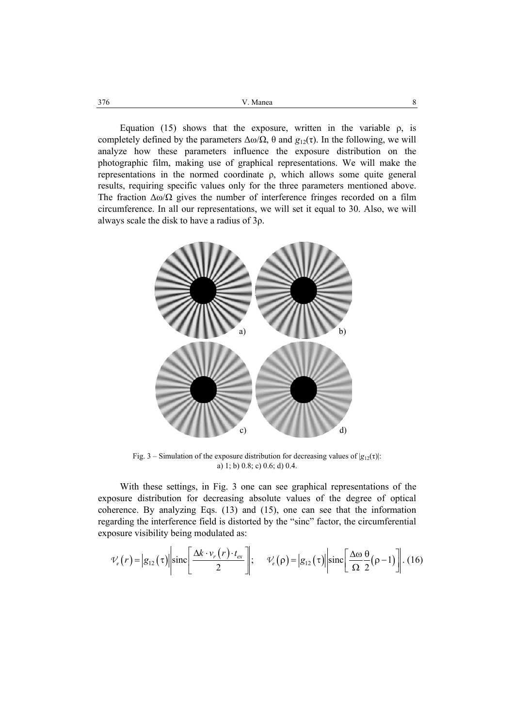Equation (15) shows that the exposure, written in the variable  $\rho$ , is completely defined by the parameters  $Δω/Ω$ , θ and  $g<sub>12</sub>(τ)$ . In the following, we will analyze how these parameters influence the exposure distribution on the photographic film, making use of graphical representations. We will make the representations in the normed coordinate ρ, which allows some quite general results, requiring specific values only for the three parameters mentioned above. The fraction  $\Delta\omega/\Omega$  gives the number of interference fringes recorded on a film circumference. In all our representations, we will set it equal to 30. Also, we will always scale the disk to have a radius of 3ρ.



Fig. 3 – Simulation of the exposure distribution for decreasing values of  $|g_{12}(\tau)|$ : a) 1; b) 0.8; c) 0.6; d) 0.4.

With these settings, in Fig. 3 one can see graphical representations of the exposure distribution for decreasing absolute values of the degree of optical coherence. By analyzing Eqs. (13) and (15), one can see that the information regarding the interference field is distorted by the "sinc" factor, the circumferential exposure visibility being modulated as:

$$
\mathcal{V}_{e}(r) = |g_{12}(\tau)||\text{sinc}\left[\frac{\Delta k \cdot v_{r}(r) \cdot t_{ex}}{2}\right]; \quad \mathcal{V}_{e}(\rho) = |g_{12}(\tau)||\text{sinc}\left[\frac{\Delta \omega \theta}{\Omega 2}(\rho - 1)\right]. (16)
$$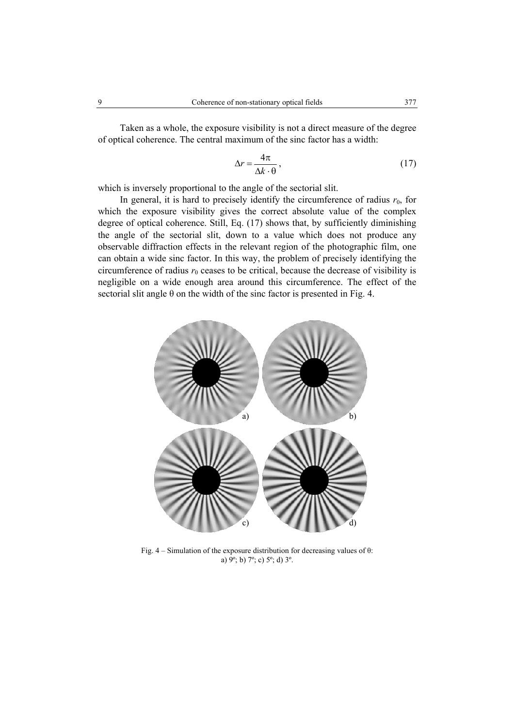Taken as a whole, the exposure visibility is not a direct measure of the degree of optical coherence. The central maximum of the sinc factor has a width:

$$
\Delta r = \frac{4\pi}{\Delta k \cdot \theta},\tag{17}
$$

which is inversely proportional to the angle of the sectorial slit.

In general, it is hard to precisely identify the circumference of radius  $r_0$ , for which the exposure visibility gives the correct absolute value of the complex degree of optical coherence. Still, Eq. (17) shows that, by sufficiently diminishing the angle of the sectorial slit, down to a value which does not produce any observable diffraction effects in the relevant region of the photographic film, one can obtain a wide sinc factor. In this way, the problem of precisely identifying the circumference of radius  $r_0$  ceases to be critical, because the decrease of visibility is negligible on a wide enough area around this circumference. The effect of the sectorial slit angle θ on the width of the sinc factor is presented in Fig. 4.



Fig.  $4 -$  Simulation of the exposure distribution for decreasing values of  $\theta$ : a)  $\bar{9}^{\circ}$ ; b)  $7^{\circ}$ ; c)  $5^{\circ}$ ; d)  $3^{\circ}$ .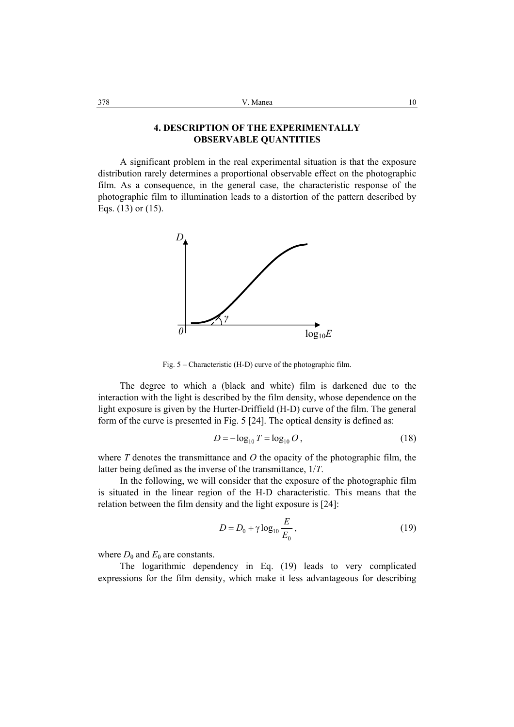## **4. DESCRIPTION OF THE EXPERIMENTALLY OBSERVABLE QUANTITIES**

A significant problem in the real experimental situation is that the exposure distribution rarely determines a proportional observable effect on the photographic film. As a consequence, in the general case, the characteristic response of the photographic film to illumination leads to a distortion of the pattern described by Eqs. (13) or (15).



Fig. 5 – Characteristic (H-D) curve of the photographic film.

The degree to which a (black and white) film is darkened due to the interaction with the light is described by the film density, whose dependence on the light exposure is given by the Hurter-Driffield (H-D) curve of the film. The general form of the curve is presented in Fig. 5 [24]. The optical density is defined as:

$$
D = -\log_{10} T = \log_{10} O\,,\tag{18}
$$

where *T* denotes the transmittance and *O* the opacity of the photographic film, the latter being defined as the inverse of the transmittance, 1/*T*.

In the following, we will consider that the exposure of the photographic film is situated in the linear region of the H-D characteristic. This means that the relation between the film density and the light exposure is [24]:

$$
D = D_0 + \gamma \log_{10} \frac{E}{E_0},\tag{19}
$$

where  $D_0$  and  $E_0$  are constants.

The logarithmic dependency in Eq. (19) leads to very complicated expressions for the film density, which make it less advantageous for describing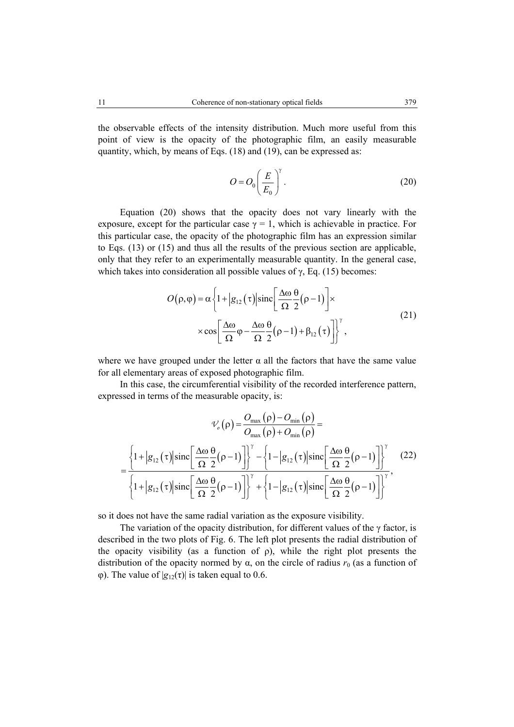the observable effects of the intensity distribution. Much more useful from this point of view is the opacity of the photographic film, an easily measurable quantity, which, by means of Eqs. (18) and (19), can be expressed as:

$$
O = O_0 \left(\frac{E}{E_0}\right)^{\gamma}.
$$
 (20)

Equation (20) shows that the opacity does not vary linearly with the exposure, except for the particular case  $\gamma = 1$ , which is achievable in practice. For this particular case, the opacity of the photographic film has an expression similar to Eqs. (13) or (15) and thus all the results of the previous section are applicable, only that they refer to an experimentally measurable quantity. In the general case, which takes into consideration all possible values of  $\gamma$ , Eq. (15) becomes:

$$
O(\rho, \varphi) = \alpha \left\{ 1 + |g_{12}(\tau)| \operatorname{sinc} \left[ \frac{\Delta \omega}{\Omega} \frac{\theta}{2} (\rho - 1) \right] \times \right. \times \cos \left[ \frac{\Delta \omega}{\Omega} \varphi - \frac{\Delta \omega}{\Omega} \frac{\theta}{2} (\rho - 1) + \beta_{12} (\tau) \right] \right\}^{\gamma},
$$
\n(21)

where we have grouped under the letter  $\alpha$  all the factors that have the same value for all elementary areas of exposed photographic film.

In this case, the circumferential visibility of the recorded interference pattern, expressed in terms of the measurable opacity, is:

$$
\mathcal{V}_{o}(\rho) = \frac{O_{\max}(\rho) - O_{\min}(\rho)}{O_{\max}(\rho) + O_{\min}(\rho)} =
$$
  
= 
$$
\frac{\left\{1 + \left|g_{12}(\tau)\right|\mathrm{sinc}\left[\frac{\Delta\omega}{\Omega}\frac{\theta}{2}(\rho - 1)\right]\right\}^{\gamma} - \left\{1 - \left|g_{12}(\tau)\right|\mathrm{sinc}\left[\frac{\Delta\omega}{\Omega}\frac{\theta}{2}(\rho - 1)\right]\right\}^{\gamma}}{\left\{1 + \left|g_{12}(\tau)\right|\mathrm{sinc}\left[\frac{\Delta\omega}{\Omega}\frac{\theta}{2}(\rho - 1)\right]\right\}^{\gamma} + \left\{1 - \left|g_{12}(\tau)\right|\mathrm{sinc}\left[\frac{\Delta\omega}{\Omega}\frac{\theta}{2}(\rho - 1)\right]\right\}^{\gamma}},
$$
(22)

so it does not have the same radial variation as the exposure visibility.

The variation of the opacity distribution, for different values of the  $\gamma$  factor, is described in the two plots of Fig. 6. The left plot presents the radial distribution of the opacity visibility (as a function of  $\rho$ ), while the right plot presents the distribution of the opacity normed by  $\alpha$ , on the circle of radius  $r_0$  (as a function of φ). The value of  $|g_{12}(\tau)|$  is taken equal to 0.6.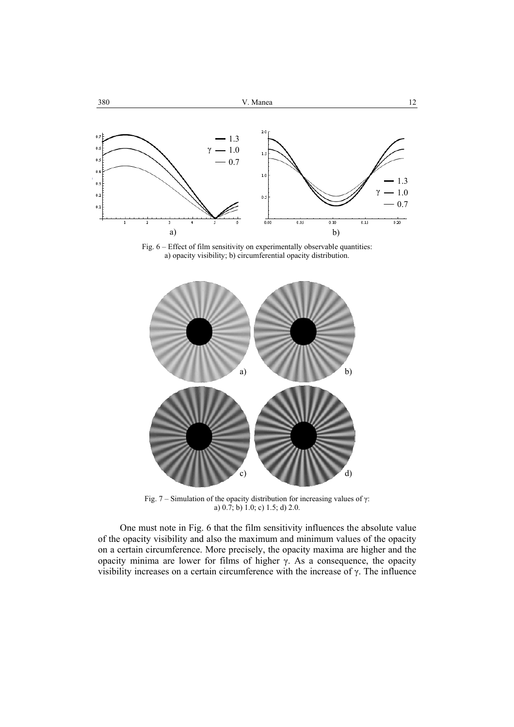

Fig. 6 – Effect of film sensitivity on experimentally observable quantities: a) opacity visibility; b) circumferential opacity distribution.



Fig. 7 – Simulation of the opacity distribution for increasing values of  $\gamma$ : a) 0.7; b) 1.0; c) 1.5; d) 2.0.

One must note in Fig. 6 that the film sensitivity influences the absolute value of the opacity visibility and also the maximum and minimum values of the opacity on a certain circumference. More precisely, the opacity maxima are higher and the opacity minima are lower for films of higher γ. As a consequence, the opacity visibility increases on a certain circumference with the increase of γ. The influence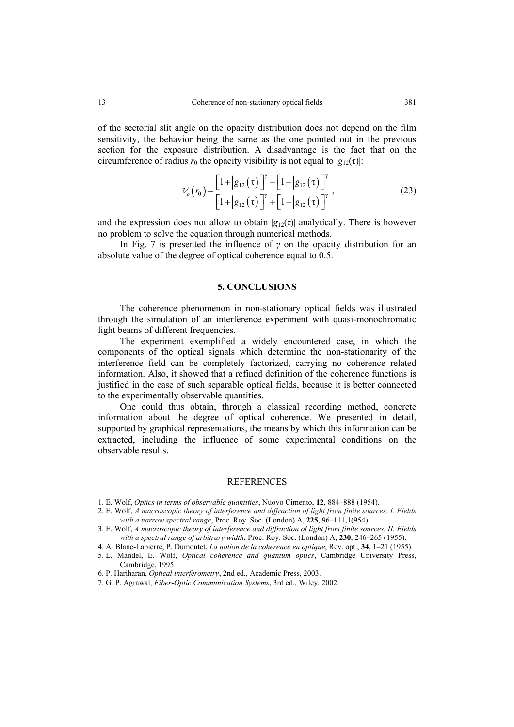of the sectorial slit angle on the opacity distribution does not depend on the film sensitivity, the behavior being the same as the one pointed out in the previous section for the exposure distribution. A disadvantage is the fact that on the circumference of radius  $r_0$  the opacity visibility is not equal to  $|g_{12}(\tau)|$ :

$$
\mathcal{V}_o(r_0) = \frac{\left[1 + |g_{12}(\tau)|\right]^\gamma - \left[1 - |g_{12}(\tau)|\right]^\gamma}{\left[1 + |g_{12}(\tau)|\right]^\gamma + \left[1 - |g_{12}(\tau)|\right]^\gamma},\tag{23}
$$

and the expression does not allow to obtain  $|g_{12}(\tau)|$  analytically. There is however no problem to solve the equation through numerical methods.

In Fig. 7 is presented the influence of *γ* on the opacity distribution for an absolute value of the degree of optical coherence equal to 0.5.

#### **5. CONCLUSIONS**

The coherence phenomenon in non-stationary optical fields was illustrated through the simulation of an interference experiment with quasi-monochromatic light beams of different frequencies.

The experiment exemplified a widely encountered case, in which the components of the optical signals which determine the non-stationarity of the interference field can be completely factorized, carrying no coherence related information. Also, it showed that a refined definition of the coherence functions is justified in the case of such separable optical fields, because it is better connected to the experimentally observable quantities.

One could thus obtain, through a classical recording method, concrete information about the degree of optical coherence. We presented in detail, supported by graphical representations, the means by which this information can be extracted, including the influence of some experimental conditions on the observable results.

#### **REFERENCES**

- 1. E. Wolf, *Optics in terms of observable quantities*, Nuovo Cimento, **12**, 884–888 (1954).
- 2. E. Wolf, *A macroscopic theory of interference and diffraction of light from finite sources. I. Fields with a narrow spectral range*, Proc. Roy. Soc. (London) A, **225**, 96–111,1(954).
- 3. E. Wolf, *A macroscopic theory of interference and diffraction of light from finite sources. II. Fields with a spectral range of arbitrary width*, Proc. Roy. Soc. (London) A, **230**, 246–265 (1955).
- 4. A. Blanc-Lapierre, P. Dumontet, *La notion de la coherence en optique*, Rev. opt., **34**, 1–21 (1955).
- 5. L. Mandel, E. Wolf, *Optical coherence and quantum optics*, Cambridge University Press, Cambridge, 1995.
- 6. P. Hariharan, *Optical interferometry*, 2nd ed., Academic Press, 2003.
- 7. G. P. Agrawal, *Fiber-Optic Communication Systems*, 3rd ed., Wiley, 2002.